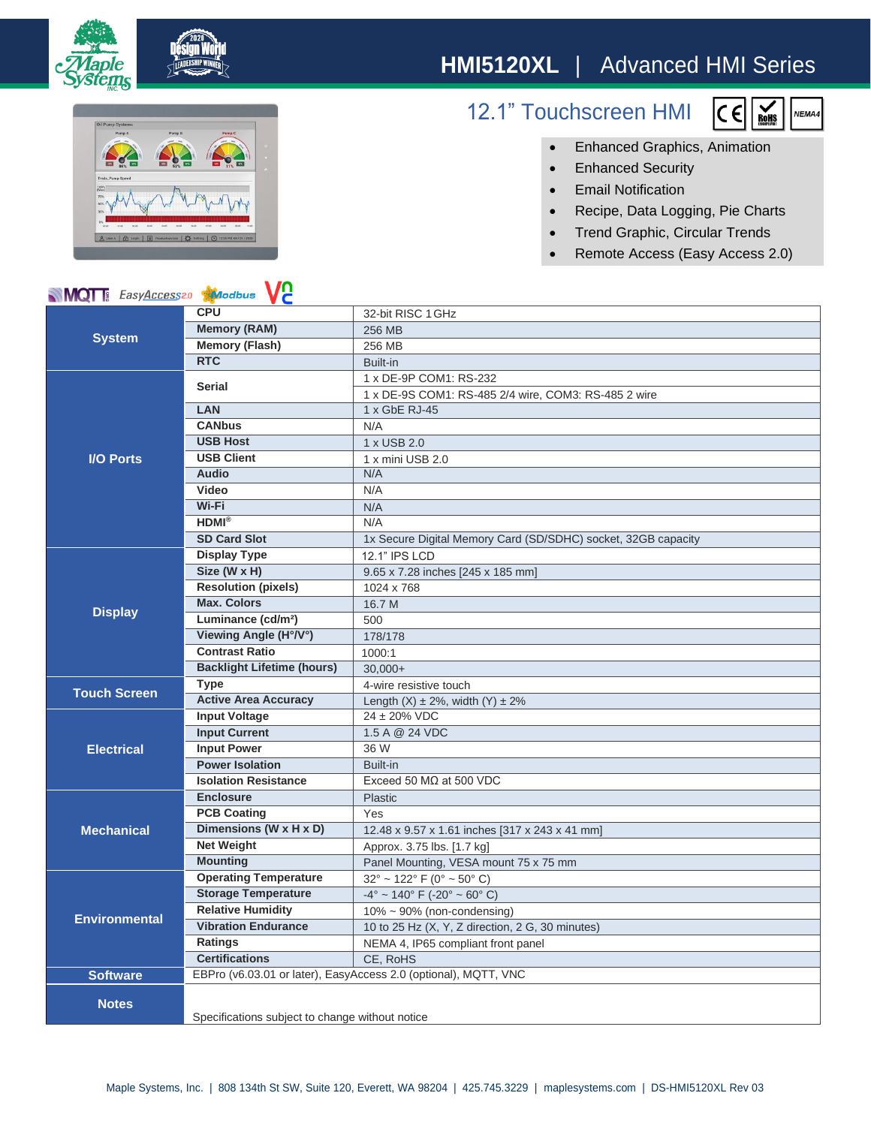## **HMI5120XL** | Advanced HMI Series



12.1" Touchscreen HMI



- Enhanced Graphics, Animation
- Enhanced Security
- Email Notification
- Recipe, Data Logging, Pie Charts
- Trend Graphic, Circular Trends
- Remote Access (Easy Access 2.0)

## **V<sub>2</sub> MQT** EasyAccess20 Modbus

| <b>NIVIQI</b> asyAccess <sup>20</sup><br><b>XI</b> Odbus<br>V C |                                                                 |                                                                  |
|-----------------------------------------------------------------|-----------------------------------------------------------------|------------------------------------------------------------------|
| <b>System</b>                                                   | <b>CPU</b>                                                      | 32-bit RISC 1 GHz                                                |
|                                                                 | <b>Memory (RAM)</b>                                             | 256 MB                                                           |
|                                                                 | <b>Memory (Flash)</b>                                           | 256 MB                                                           |
|                                                                 | <b>RTC</b>                                                      | Built-in                                                         |
| <b>I/O Ports</b>                                                | <b>Serial</b>                                                   | 1 x DE-9P COM1: RS-232                                           |
|                                                                 |                                                                 | 1 x DE-9S COM1: RS-485 2/4 wire, COM3: RS-485 2 wire             |
|                                                                 | LAN                                                             | 1 x GbE RJ-45                                                    |
|                                                                 | <b>CANbus</b>                                                   | N/A                                                              |
|                                                                 | <b>USB Host</b>                                                 | 1 x USB 2.0                                                      |
|                                                                 | <b>USB Client</b>                                               | 1 x mini USB 2.0                                                 |
|                                                                 | <b>Audio</b>                                                    | N/A                                                              |
|                                                                 | <b>Video</b>                                                    | N/A                                                              |
|                                                                 | Wi-Fi                                                           | N/A                                                              |
|                                                                 | <b>HDMI®</b>                                                    | N/A                                                              |
|                                                                 | <b>SD Card Slot</b>                                             | 1x Secure Digital Memory Card (SD/SDHC) socket, 32GB capacity    |
| <b>Display</b>                                                  | <b>Display Type</b>                                             | 12.1" IPS LCD                                                    |
|                                                                 | Size (W x H)                                                    | 9.65 x 7.28 inches [245 x 185 mm]                                |
|                                                                 | <b>Resolution (pixels)</b>                                      | 1024 x 768                                                       |
|                                                                 | <b>Max. Colors</b>                                              | 16.7 M                                                           |
|                                                                 | Luminance (cd/m <sup>2</sup> )                                  | 500                                                              |
|                                                                 | Viewing Angle (H°/V°)                                           | 178/178                                                          |
|                                                                 | <b>Contrast Ratio</b>                                           | 1000:1                                                           |
|                                                                 | <b>Backlight Lifetime (hours)</b>                               | $30,000+$                                                        |
| <b>Touch Screen</b>                                             | <b>Type</b>                                                     | 4-wire resistive touch                                           |
|                                                                 | <b>Active Area Accuracy</b>                                     | Length $(X) \pm 2\%$ , width $(Y) \pm 2\%$                       |
| <b>Electrical</b>                                               | <b>Input Voltage</b>                                            | 24 ± 20% VDC                                                     |
|                                                                 | <b>Input Current</b>                                            | 1.5 A @ 24 VDC                                                   |
|                                                                 | <b>Input Power</b>                                              | 36 W                                                             |
|                                                                 | <b>Power Isolation</b>                                          | Built-in                                                         |
|                                                                 | <b>Isolation Resistance</b>                                     | Exceed 50 $MO$ at 500 VDC                                        |
| <b>Mechanical</b>                                               | <b>Enclosure</b>                                                | Plastic                                                          |
|                                                                 | <b>PCB Coating</b>                                              | Yes                                                              |
|                                                                 | Dimensions (W x H x D)                                          | 12.48 x 9.57 x 1.61 inches [317 x 243 x 41 mm]                   |
|                                                                 | <b>Net Weight</b>                                               | Approx. 3.75 lbs. [1.7 kg]                                       |
|                                                                 | <b>Mounting</b>                                                 | Panel Mounting, VESA mount 75 x 75 mm                            |
| <b>Environmental</b>                                            | <b>Operating Temperature</b>                                    | $32^{\circ}$ ~ 122 $^{\circ}$ F (0 $^{\circ}$ ~ 50 $^{\circ}$ C) |
|                                                                 | <b>Storage Temperature</b>                                      | $-4^{\circ}$ ~ 140° F (-20° ~ 60° C)                             |
|                                                                 | <b>Relative Humidity</b>                                        | $10\% \sim 90\%$ (non-condensing)                                |
|                                                                 | <b>Vibration Endurance</b>                                      | 10 to 25 Hz (X, Y, Z direction, 2 G, 30 minutes)                 |
|                                                                 | <b>Ratings</b>                                                  | NEMA 4, IP65 compliant front panel                               |
|                                                                 | <b>Certifications</b>                                           | CE, RoHS                                                         |
| <b>Software</b>                                                 | EBPro (v6.03.01 or later), EasyAccess 2.0 (optional), MQTT, VNC |                                                                  |
| <b>Notes</b>                                                    | Specifications subject to change without notice                 |                                                                  |